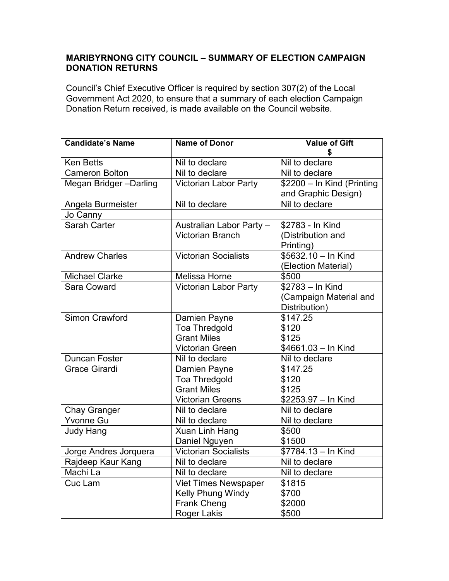## **MARIBYRNONG CITY COUNCIL – SUMMARY OF ELECTION CAMPAIGN DONATION RETURNS**

Council's Chief Executive Officer is required by section 307(2) of the Local Government Act 2020, to ensure that a summary of each election Campaign Donation Return received, is made available on the Council website.

| <b>Candidate's Name</b> | <b>Name of Donor</b>         | <b>Value of Gift</b>       |
|-------------------------|------------------------------|----------------------------|
|                         |                              | \$                         |
| <b>Ken Betts</b>        | Nil to declare               | Nil to declare             |
| <b>Cameron Bolton</b>   | Nil to declare               | Nil to declare             |
| Megan Bridger-Darling   | <b>Victorian Labor Party</b> | \$2200 - In Kind (Printing |
|                         |                              | and Graphic Design)        |
| Angela Burmeister       | Nil to declare               | Nil to declare             |
| Jo Canny                |                              |                            |
| <b>Sarah Carter</b>     | Australian Labor Party -     | \$2783 - In Kind           |
|                         | <b>Victorian Branch</b>      | (Distribution and          |
|                         |                              | Printing)                  |
| <b>Andrew Charles</b>   | <b>Victorian Socialists</b>  | $$5632.10 - In$ Kind       |
|                         |                              | (Election Material)        |
| <b>Michael Clarke</b>   | <b>Melissa Horne</b>         | \$500                      |
| <b>Sara Coward</b>      | <b>Victorian Labor Party</b> | \$2783 - In Kind           |
|                         |                              | (Campaign Material and     |
|                         |                              | Distribution)              |
| <b>Simon Crawford</b>   | Damien Payne                 | \$147.25                   |
|                         | Toa Thredgold                | \$120                      |
|                         | <b>Grant Miles</b>           | \$125                      |
|                         | <b>Victorian Green</b>       | \$4661.03 - In Kind        |
| <b>Duncan Foster</b>    | Nil to declare               | Nil to declare             |
| <b>Grace Girardi</b>    | Damien Payne                 | \$147.25                   |
|                         | Toa Thredgold                | \$120                      |
|                         | <b>Grant Miles</b>           | \$125                      |
|                         | <b>Victorian Greens</b>      | \$2253.97 - In Kind        |
| <b>Chay Granger</b>     | Nil to declare               | Nil to declare             |
| <b>Yvonne Gu</b>        | Nil to declare               | Nil to declare             |
| <b>Judy Hang</b>        | Xuan Linh Hang               | \$500                      |
|                         | Daniel Nguyen                | \$1500                     |
| Jorge Andres Jorquera   | <b>Victorian Socialists</b>  | \$7784.13 - In Kind        |
| Rajdeep Kaur Kang       | Nil to declare               | Nil to declare             |
| Machi La                | Nil to declare               | Nil to declare             |
| Cuc Lam                 | <b>Viet Times Newspaper</b>  | \$1815                     |
|                         | Kelly Phung Windy            | \$700                      |
|                         | <b>Frank Cheng</b>           | \$2000                     |
|                         | <b>Roger Lakis</b>           | \$500                      |